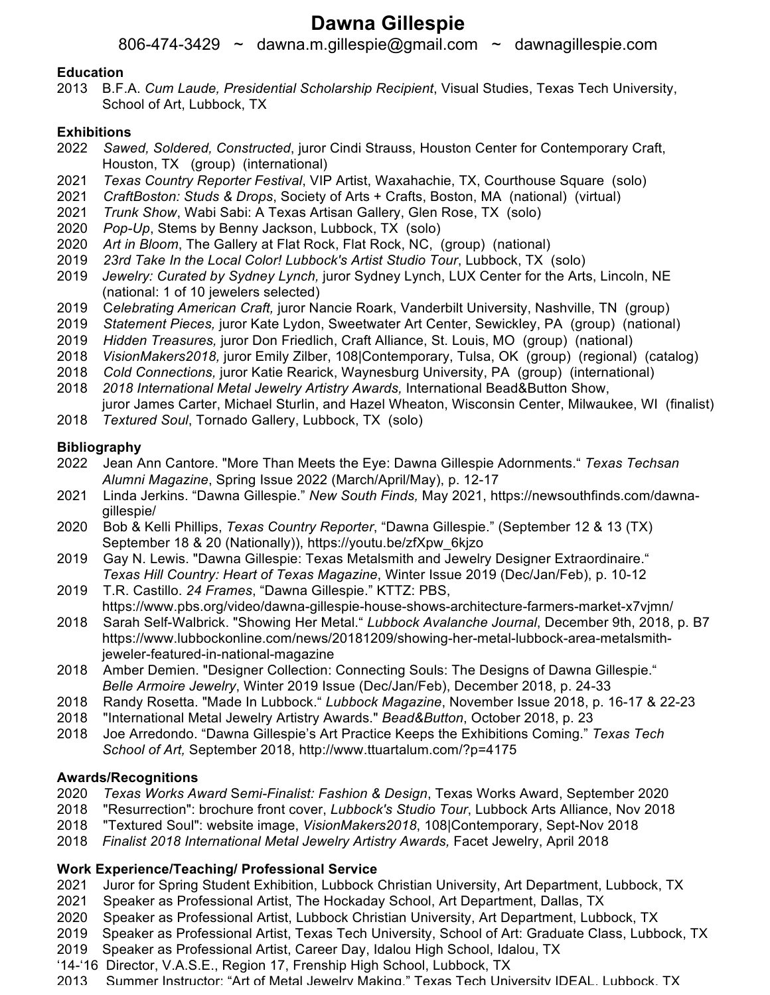# **Dawna Gillespie**

806-474-3429 ~ dawna.m.gillespie@gmail.com ~ dawnagillespie.com

#### **Education**

2013 B.F.A. *Cum Laude, Presidential Scholarship Recipient*, Visual Studies, Texas Tech University, School of Art, Lubbock, TX

### **Exhibitions**

- 2022 *Sawed, Soldered, Constructed*, juror Cindi Strauss, Houston Center for Contemporary Craft, Houston, TX (group) (international)
- 2021 *Texas Country Reporter Festival*, VIP Artist, Waxahachie, TX, Courthouse Square (solo)
- 2021 *CraftBoston: Studs & Drops*, Society of Arts + Crafts, Boston, MA (national) (virtual)
- 2021 *Trunk Show*, Wabi Sabi: A Texas Artisan Gallery, Glen Rose, TX (solo)
- 2020 *Pop-Up*, Stems by Benny Jackson, Lubbock, TX (solo)
- 2020 *Art in Bloom*, The Gallery at Flat Rock, Flat Rock, NC, (group) (national)
- 
- 2019 *23rd Take In the Local Color! Lubbock's Artist Studio Tour*, Lubbock, TX (solo) Jewelry: Curated by Sydney Lynch, juror Sydney Lynch, LUX Center for the Arts, Lincoln, NE (national: 1 of 10 jewelers selected)
- 2019 C*elebrating American Craft,* juror Nancie Roark, Vanderbilt University, Nashville, TN (group)
- 2019 *Statement Pieces,* juror Kate Lydon, Sweetwater Art Center, Sewickley, PA (group) (national)
- 2019 *Hidden Treasures,* juror Don Friedlich, Craft Alliance, St. Louis, MO (group) (national)
- 2018 *VisionMakers2018,* juror Emily Zilber, 108|Contemporary, Tulsa, OK (group) (regional) (catalog)
- 2018 *Cold Connections,* juror Katie Rearick, Waynesburg University, PA (group) (international)
- 2018 *2018 International Metal Jewelry Artistry Awards,* International Bead&Button Show,

juror James Carter, Michael Sturlin, and Hazel Wheaton, Wisconsin Center, Milwaukee, WI (finalist)

2018 *Textured Soul*, Tornado Gallery, Lubbock, TX (solo)

## **Bibliography**

- 2022 Jean Ann Cantore. "More Than Meets the Eye: Dawna Gillespie Adornments." *Texas Techsan Alumni Magazine*, Spring Issue 2022 (March/April/May), p. 12-17
- 2021 Linda Jerkins. "Dawna Gillespie." *New South Finds,* May 2021, https://newsouthfinds.com/dawnagillespie/
- 2020 Bob & Kelli Phillips, *Texas Country Reporter*, "Dawna Gillespie." (September 12 & 13 (TX) September 18 & 20 (Nationally)), https://youtu.be/zfXpw\_6kjzo
- 2019 Gay N. Lewis. "Dawna Gillespie: Texas Metalsmith and Jewelry Designer Extraordinaire." *Texas Hill Country: Heart of Texas Magazine*, Winter Issue 2019 (Dec/Jan/Feb), p. 10-12
- 2019 T.R. Castillo. *24 Frames*, "Dawna Gillespie." KTTZ: PBS, https://www.pbs.org/video/dawna-gillespie-house-shows-architecture-farmers-market-x7vjmn/
- 2018 Sarah Self-Walbrick. "Showing Her Metal." *Lubbock Avalanche Journal*, December 9th, 2018, p. B7 https://www.lubbockonline.com/news/20181209/showing-her-metal-lubbock-area-metalsmithjeweler-featured-in-national-magazine
- 2018 Amber Demien. "Designer Collection: Connecting Souls: The Designs of Dawna Gillespie." *Belle Armoire Jewelry*, Winter 2019 Issue (Dec/Jan/Feb), December 2018, p. 24-33
- 2018 Randy Rosetta. "Made In Lubbock." *Lubbock Magazine*, November Issue 2018, p. 16-17 & 22-23
- 2018 "International Metal Jewelry Artistry Awards." *Bead&Button*, October 2018, p. 23
- 2018 Joe Arredondo. "Dawna Gillespie's Art Practice Keeps the Exhibitions Coming." *Texas Tech School of Art,* September 2018, http://www.ttuartalum.com/?p=4175

#### **Awards/Recognitions**

- 2020 *Texas Works Award* S*emi-Finalist: Fashion & Design*, Texas Works Award, September 2020
- 2018 "Resurrection": brochure front cover, *Lubbock's Studio Tour*, Lubbock Arts Alliance, Nov 2018
- 2018 "Textured Soul": website image, *VisionMakers2018*, 108|Contemporary, Sept-Nov 2018
- 2018 *Finalist 2018 International Metal Jewelry Artistry Awards,* Facet Jewelry, April 2018

## **Work Experience/Teaching/ Professional Service**

- 2021 Juror for Spring Student Exhibition, Lubbock Christian University, Art Department, Lubbock, TX
- 2021 Speaker as Professional Artist, The Hockaday School, Art Department, Dallas, TX
- 2020 Speaker as Professional Artist, Lubbock Christian University, Art Department, Lubbock, TX
- 2019 Speaker as Professional Artist, Texas Tech University, School of Art: Graduate Class, Lubbock, TX
- 2019 Speaker as Professional Artist, Career Day, Idalou High School, Idalou, TX
- '14-'16 Director, V.A.S.E., Region 17, Frenship High School, Lubbock, TX
- 2013 Summer Instructor: "Art of Metal Jewelry Making." Texas Tech University IDEAL, Lubbock, TX